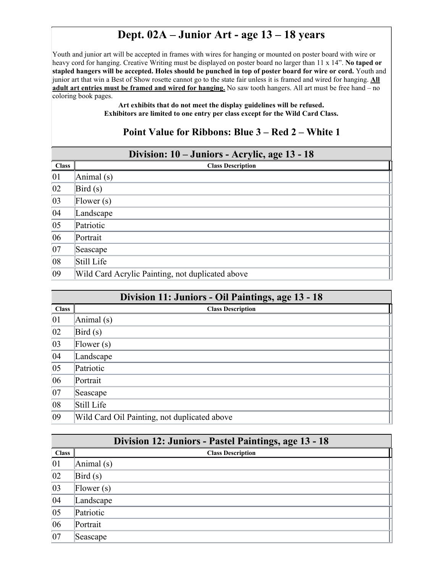## **Dept. 02A – Junior Art - age 13 – 18 years**

Youth and junior art will be accepted in frames with wires for hanging or mounted on poster board with wire or heavy cord for hanging. Creative Writing must be displayed on poster board no larger than 11 x 14". **No taped or stapled hangers will be accepted. Holes should be punched in top of poster board for wire or cord.** Youth and junior art that win a Best of Show rosette cannot go to the state fair unless it is framed and wired for hanging. **All adult art entries must be framed and wired for hanging.** No saw tooth hangers. All art must be free hand – no coloring book pages.

> **Art exhibits that do not meet the display guidelines will be refused. Exhibitors are limited to one entry per class except for the Wild Card Class.**

#### **Point Value for Ribbons: Blue 3 – Red 2 – White 1**

#### **Division: 10 – Juniors - Acrylic, age 13 - 18**

|              | ັ                                                |  |
|--------------|--------------------------------------------------|--|
| <b>Class</b> | <b>Class Description</b>                         |  |
| 01           | Animal (s)                                       |  |
| $ 02\rangle$ | Bird(s)                                          |  |
| $ 03\rangle$ | Flower $(s)$                                     |  |
| 04           | Landscape                                        |  |
| $ 05\rangle$ | Patriotic                                        |  |
| 06           | Portrait                                         |  |
| 07           | Seascape                                         |  |
| 08           | Still Life                                       |  |
| $ 09\rangle$ | Wild Card Acrylic Painting, not duplicated above |  |

|              | Division 11: Juniors - Oil Paintings, age 13 - 18 |
|--------------|---------------------------------------------------|
| <b>Class</b> | <b>Class Description</b>                          |
| 01           | Animal $(s)$                                      |
| 02           | Bird(s)                                           |
| $ 03\rangle$ | [Flower(s)]                                       |
| 04           | Landscape                                         |
| $ 05\rangle$ | Patriotic                                         |
| $ 06\rangle$ | Portrait                                          |
| $ 07\rangle$ | Seascape                                          |
| 08           | Still Life                                        |
| $ 09\rangle$ | Wild Card Oil Painting, not duplicated above      |

|              | Division 12: Juniors - Pastel Paintings, age 13 - 18 |
|--------------|------------------------------------------------------|
| <b>Class</b> | <b>Class Description</b>                             |
| 01           | Animal (s)                                           |
| $ 02\rangle$ | Bird(s)                                              |
| $ 03\rangle$ | [Flower(s)]                                          |
| 04           | Landscape                                            |
| $ 05\rangle$ | Patriotic                                            |
| 06           | Portrait                                             |
| 07           | Seascape                                             |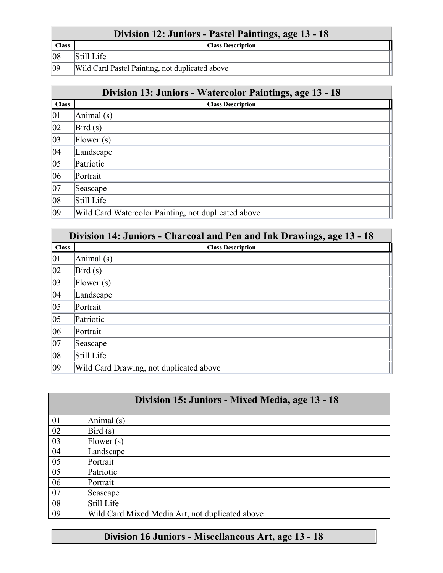## **Division 12: Juniors - Pastel Paintings, age 13 - 18**

**Class Class Description**

08 Still Life

09 Wild Card Pastel Painting, not duplicated above

|              | Division 13: Juniors - Watercolor Paintings, age 13 - 18 |  |
|--------------|----------------------------------------------------------|--|
| <b>Class</b> | <b>Class Description</b>                                 |  |
| 01           | Animal (s)                                               |  |
| 02           | Bird(s)                                                  |  |
| 03           | [Flower(s)]                                              |  |
| 04           | Landscape                                                |  |
| $ 05\rangle$ | Patriotic                                                |  |
| 06           | Portrait                                                 |  |
| $ 07\rangle$ | Seascape                                                 |  |
| $ 08\rangle$ | Still Life                                               |  |
| $ 09\rangle$ | Wild Card Watercolor Painting, not duplicated above      |  |

|              | Division 14: Juniors - Charcoal and Pen and Ink Drawings, age 13 - 18 |  |
|--------------|-----------------------------------------------------------------------|--|
| <b>Class</b> | <b>Class Description</b>                                              |  |
| 01           | Animal (s)                                                            |  |
| 02           | Bird(s)                                                               |  |
| $ 03\rangle$ | [Flower(s)]                                                           |  |
| 04           | Landscape                                                             |  |
| 05           | Portrait                                                              |  |
| $ 05\rangle$ | Patriotic                                                             |  |
| 06           | Portrait                                                              |  |
| $ 07\rangle$ | Seascape                                                              |  |
| $ 08\rangle$ | Still Life                                                            |  |
| $ 09\rangle$ | Wild Card Drawing, not duplicated above                               |  |

|    | Division 15: Juniors - Mixed Media, age 13 - 18 |
|----|-------------------------------------------------|
| 01 | Animal (s)                                      |
| 02 | Bird(s)                                         |
| 03 | Flower $(s)$                                    |
| 04 | Landscape                                       |
| 05 | Portrait                                        |
| 05 | Patriotic                                       |
| 06 | Portrait                                        |
| 07 | Seascape                                        |
| 08 | Still Life                                      |
| 09 | Wild Card Mixed Media Art, not duplicated above |

# **Division 16 Juniors - Miscellaneous Art, age 13 - 18**